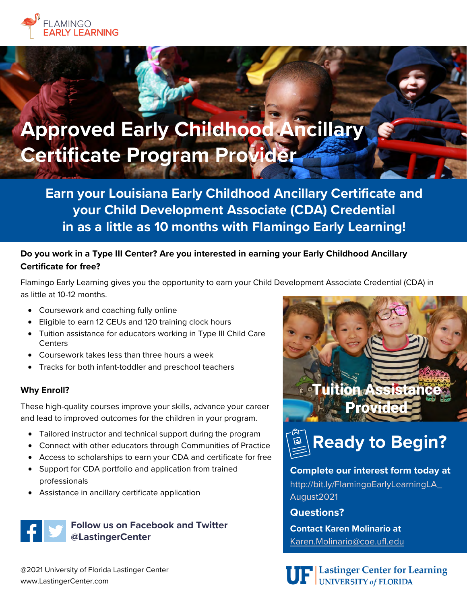

# **Approved Early Childhood Ancillary Certificate Program Provider**

**Earn your Louisiana Early Childhood Ancillary Certificate and your Child Development Associate (CDA) Credential in as a little as 10 months with Flamingo Early Learning!**

### **Do you work in a Type III Center? Are you interested in earning your Early Childhood Ancillary Certificate for free?**

Flamingo Early Learning gives you the opportunity to earn your Child Development Associate Credential (CDA) in as little at 10-12 months.

- Coursework and coaching fully online
- Eligible to earn 12 CEUs and 120 training clock hours
- Tuition assistance for educators working in Type III Child Care **Centers**
- Coursework takes less than three hours a week
- Tracks for both infant-toddler and preschool teachers

#### **Why Enroll?**

These high-quality courses improve your skills, advance your career and lead to improved outcomes for the children in your program.

- Tailored instructor and technical support during the program
- Connect with other educators through Communities of Practice
- Access to scholarships to earn your CDA and certificate for free
- Support for CDA portfolio and application from trained professionals
- Assistance in ancillary certificate application

## **Follow us on Facebook and Twitter @LastingerCenter**

@2021 University of Florida Lastinger Center www.LastingerCenter.com



**Ready to Begin?**

**Complete our interest form today at**  [http://bit.ly/FlamingoEarlyLearningLA\\_](http://bit.ly/FlamingoEarlyLearningLA_August2021)  August2021

**Questions?** 

**Contact Karen Molinario at** Karen.Molinario@coe.ufl.edu



**UF** Lastinger Center for Learning